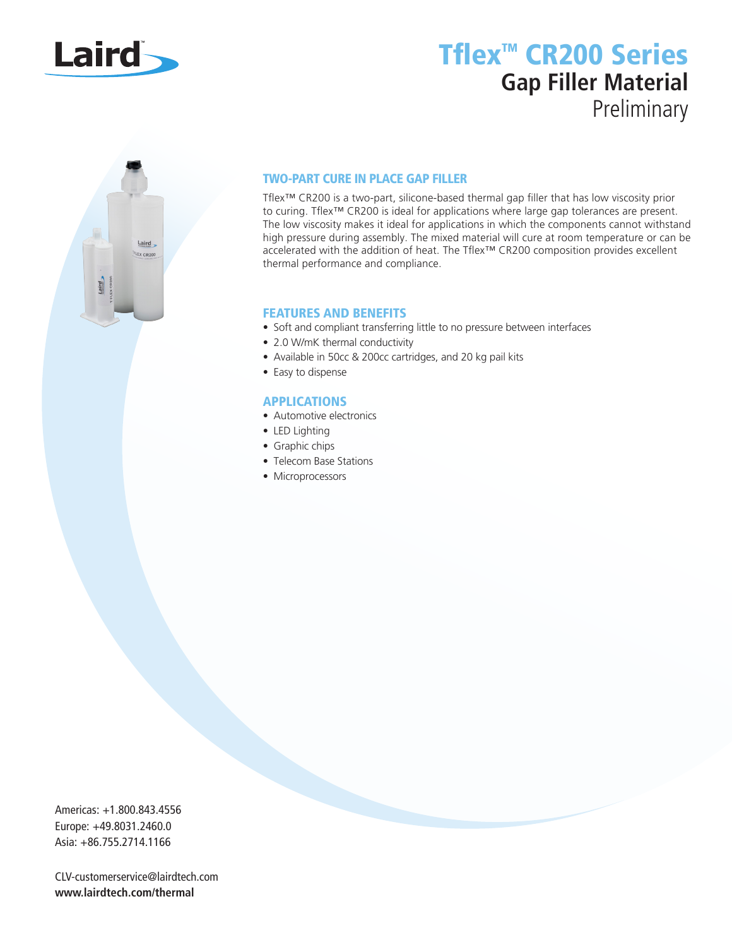

## Tflex<sup>™</sup> CR200 Series **Gap Filler Material** Preliminary



### TWO-PART CURE IN PLACE GAP FILLER

Tflex™ CR200 is a two-part, silicone-based thermal gap filler that has low viscosity prior to curing. Tflex™ CR200 is ideal for applications where large gap tolerances are present. The low viscosity makes it ideal for applications in which the components cannot withstand high pressure during assembly. The mixed material will cure at room temperature or can be accelerated with the addition of heat. The Tflex™ CR200 composition provides excellent thermal performance and compliance.

### FEATURES AND BENEFITS

- Soft and compliant transferring little to no pressure between interfaces
- 2.0 W/mK thermal conductivity
- Available in 50cc & 200cc cartridges, and 20 kg pail kits
- Easy to dispense

### APPLICATIONS

- Automotive electronics
- LED Lighting
- Graphic chips
- Telecom Base Stations
- Microprocessors

Americas: +1.800.843.4556 Europe: +49.8031.2460.0 Asia: +86.755.2714.1166

CLV-customerservice@lairdtech.com **www.lairdtech.com/thermal**